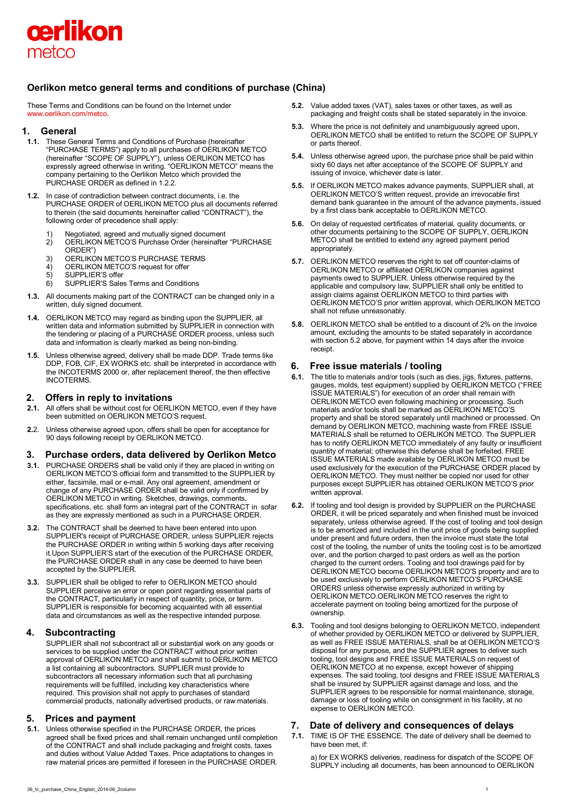

## **Oerlikon metco general terms and conditions of purchase (China)**

These Terms and Conditions can be found on the Internet under [www.oerlikon.com/metco.](http://www.oerlikon.com/metco)

## **1. General**

- **1.1.** These General Terms and Conditions of Purchase (hereinafter "PURCHASE TERMS") apply to all purchases of OERLIKON METCO (hereinafter "SCOPE OF SUPPLY"), unless OERLIKON METCO has expressly agreed otherwise in writing. "OERLIKON METCO" means the company pertaining to the Oerlikon Metco which provided the PURCHASE ORDER as defined in 1.2.2.
- **1.2.** In case of contradiction between contract documents, i.e. the PURCHASE ORDER of OERLIKON METCO plus all documents referred to therein (the said documents hereinafter called "CONTRACT"), the following order of precedence shall apply:
	- 1) Negotiated, agreed and mutually signed document
	- 2) OERLIKON METCO'S Purchase Order (hereinafter "PURCHASE ORDER")
	- 3) OERLIKON METCO'S PURCHASE TERMS<br>4) OERLIKON METCO'S request for offer
	- OERLIKON METCO'S request for offer
	- 5) SUPPLIER'S offer
	- 6) SUPPLIER'S Sales Terms and Conditions
- **1.3.** All documents making part of the CONTRACT can be changed only in a written, duly signed document.
- **1.4.** OERLIKON METCO may regard as binding upon the SUPPLIER, all written data and information submitted by SUPPLIER in connection with the tendering or placing of a PURCHASE ORDER process, unless such data and information is clearly marked as being non-binding.
- **1.5.** Unless otherwise agreed, delivery shall be made DDP. Trade terms like DDP, FOB, CIF, EX WORKS etc. shall be interpreted in accordance with the INCOTERMS 2000 or, after replacement thereof, the then effective INCOTERMS.

## **2. Offers in reply to invitations**

- **2.1.** All offers shall be without cost for OERLIKON METCO, even if they have been submitted on OERLIKON METCO'S request.
- **2.**2. Unless otherwise agreed upon, offers shall be open for acceptance for 90 days following receipt by OERLIKON METCO.

#### **3. Purchase orders, data delivered by Oerlikon Metco**

- **3.1.** PURCHASE ORDERS shall be valid only if they are placed in writing on OERLIKON METCO'S official form and transmitted to the SUPPLIER by either, facsimile, mail or e-mail. Any oral agreement, amendment or change of any PURCHASE ORDER shall be valid only if confirmed by OERLIKON METCO in writing. Sketches, drawings, comments, specifications, etc. shall form an integral part of the CONTRACT in sofar as they are expressly mentioned as such in a PURCHASE ORDER.
- **3.2.** The CONTRACT shall be deemed to have been entered into upon SUPPLIER's receipt of PURCHASE ORDER, unless SUPPLIER rejects the PURCHASE ORDER in writing within 5 working days after receiving it.Upon SUPPLIER'S start of the execution of the PURCHASE ORDER, the PURCHASE ORDER shall in any case be deemed to have been accepted by the SUPPLIER.
- **3.3.** SUPPLIER shall be obliged to refer to OERLIKON METCO should SUPPLIER perceive an error or open point regarding essential parts of the CONTRACT, particularly in respect of quantity, price, or term. SUPPLIER is responsible for becoming acquainted with all essential data and circumstances as well as the respective intended purpose.

## **4. Subcontracting**

SUPPLIER shall not subcontract all or substantial work on any goods or services to be supplied under the CONTRACT without prior written approval of OERLIKON METCO and shall submit to OERLIKON METCO a list containing all subcontractors. SUPPLIER must provide to subcontractors all necessary information such that all purchasing requirements will be fulfilled, including key characteristics where required. This provision shall not apply to purchases of standard commercial products, nationally advertised products, or raw materials.

## **5. Prices and payment**

**5.1.** Unless otherwise specified in the PURCHASE ORDER, the prices agreed shall be fixed prices and shall remain unchanged until completion of the CONTRACT and shall include packaging and freight costs, taxes and duties without Value Added Taxes. Price adaptations to changes in raw material prices are permitted if foreseen in the PURCHASE ORDER.

- **5.2.** Value added taxes (VAT), sales taxes or other taxes, as well as packaging and freight costs shall be stated separately in the invoice.
- **5.3.** Where the price is not definitely and unambiguously agreed upon. OERLIKON METCO shall be entitled to return the SCOPE OF SUPPLY or parts thereof.
- **5.4.** Unless otherwise agreed upon, the purchase price shall be paid within sixty 60 days net after acceptance of the SCOPE OF SUPPLY and issuing of invoice, whichever date is later.
- **5.5.** If OERLIKON METCO makes advance payments, SUPPLIER shall, at OERLIKON METCO'S written request, provide an irrevocable first demand bank guarantee in the amount of the advance payments, issued by a first class bank acceptable to OERLIKON METCO.
- **5.6.** On delay of requested certificates of material, quality documents, or other documents pertaining to the SCOPE OF SUPPLY, OERLIKON METCO shall be entitled to extend any agreed payment period appropriately.
- **5.7.** OERLIKON METCO reserves the right to set off counter-claims of OERLIKON METCO or affiliated OERLIKON companies against payments owed to SUPPLIER. Unless otherwise required by the applicable and compulsory law, SUPPLIER shall only be entitled to assign claims against OERLIKON METCO to third parties with OERLIKON METCO'S prior written approval, which OERLIKON METCO shall not refuse unreasonably.
- **5.8.** OERLIKON METCO shall be entitled to a discount of 2% on the invoice amount, excluding the amounts to be stated separately in accordance with section 5.2 above, for payment within 14 days after the invoice receipt.

## **6. Free issue materials / tooling**

- **6.1.** The title to materials and/or tools (such as dies, jigs, fixtures, patterns, gauges, molds, test equipment) supplied by OERLIKON METCO ("FREE ISSUE MATERIALS") for execution of an order shall remain with OERLIKON METCO even following machining or processing. Such materials and/or tools shall be marked as OERLIKON METCO'S property and shall be stored separately until machined or processed. On demand by OERLIKON METCO, machining waste from FREE ISSUE MATERIALS shall be returned to OERLIKON METCO. The SUPPLIER has to notify OERLIKON METCO immediately of any faulty or insufficient quantity of material; otherwise this defense shall be forfeited. FREE ISSUE MATERIALS made available by OERLIKON METCO must be used exclusively for the execution of the PURCHASE ORDER placed by OERLIKON METCO. They must neither be copied nor used for other purposes except SUPPLIER has obtained OERLIKON METCO'S prior written approval.
- **6.2.** If tooling and tool design is provided by SUPPLIER on the PURCHASE ORDER, it will be priced separately and when finished must be invoiced separately, unless otherwise agreed. If the cost of tooling and tool design is to be amortized and included in the unit price of goods being supplied under present and future orders, then the invoice must state the total cost of the tooling, the number of units the tooling cost is to be amortized over, and the portion charged to past orders as well as the portion charged to the current orders. Tooling and tool drawings paid for by OERLIKON METCO become OERLIKON METCO'S property and are to be used exclusively to perform OERLIKON METCO'S PURCHASE ORDERS unless otherwise expressly authorized in writing by OERLIKON METCO.OERLIKON METCO reserves the right to accelerate payment on tooling being amortized for the purpose of ownership.
- **6.3.** Tooling and tool designs belonging to OERLIKON METCO, independent of whether provided by OERLIKON METCO or delivered by SUPPLIER, as well as FREE ISSUE MATERIALS, shall be at OERLIKON METCO'S disposal for any purpose, and the SUPPLIER agrees to deliver such tooling, tool designs and FREE ISSUE MATERIALS on request of OERLIKON METCO at no expense, except however of shipping expenses. The said tooling, tool designs and FREE ISSUE MATERIALS shall be insured by SUPPLIER against damage and loss, and the SUPPLIER agrees to be responsible for normal maintenance, storage, damage or loss of tooling while on consignment in his facility, at no expense to OERLIKON METCO.

## **7. Date of delivery and consequences of delays**

**7.1.** TIME IS OF THE ESSENCE. The date of delivery shall be deemed to have been met, if:

a) for EX WORKS deliveries, readiness for dispatch of the SCOPE OF SUPPLY including all documents, has been announced to OERLIKON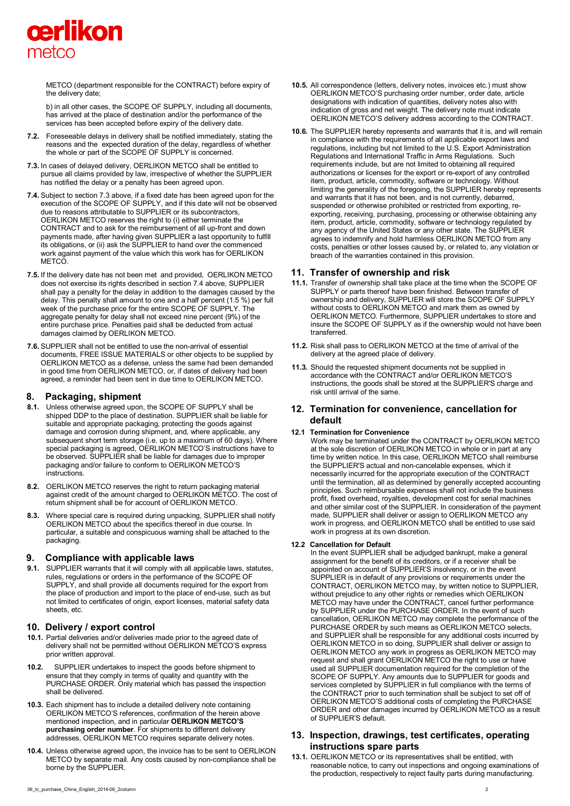

METCO (department responsible for the CONTRACT) before expiry of the delivery date;

b) in all other cases, the SCOPE OF SUPPLY, including all documents, has arrived at the place of destination and/or the performance of the services has been accepted before expiry of the delivery date.

- **7.2.** Foreseeable delays in delivery shall be notified immediately, stating the reasons and the expected duration of the delay, regardless of whether the whole or part of the SCOPE OF SUPPLY is concerned.
- **7.3.** In cases of delayed delivery, OERLIKON METCO shall be entitled to pursue all claims provided by law, irrespective of whether the SUPPLIER has notified the delay or a penalty has been agreed upon.
- **7.4.** Subject to section 7.3 above, if a fixed date has been agreed upon for the execution of the SCOPE OF SUPPLY, and if this date will not be observed due to reasons attributable to SUPPLIER or its subcontractors, OERLIKON METCO reserves the right to (i) either terminate the CONTRACT and to ask for the reimbursement of all up-front and down payments made, after having given SUPPLIER a last opportunity to fulfill its obligations, or (ii) ask the SUPPLIER to hand over the commenced work against payment of the value which this work has for OERLIKON **METCO**
- **7.5.** If the delivery date has not been met and provided, OERLIKON METCO does not exercise its rights described in section 7.4 above, SUPPLIER shall pay a penalty for the delay in addition to the damages caused by the delay. This penalty shall amount to one and a half percent (1.5 %) per full week of the purchase price for the entire SCOPE OF SUPPLY. The aggregate penalty for delay shall not exceed nine percent (9%) of the entire purchase price. Penalties paid shall be deducted from actual damages claimed by OERLIKON METCO.
- **7.6.** SUPPLIER shall not be entitled to use the non-arrival of essential documents, FREE ISSUE MATERIALS or other objects to be supplied by OERLIKON METCO as a defense, unless the same had been demanded in good time from OERLIKON METCO, or, if dates of delivery had been agreed, a reminder had been sent in due time to OERLIKON METCO.

## **8. Packaging, shipment**

- **8.1.** Unless otherwise agreed upon, the SCOPE OF SUPPLY shall be shipped DDP to the place of destination. SUPPLIER shall be liable for suitable and appropriate packaging, protecting the goods against damage and corrosion during shipment, and, where applicable, any subsequent short term storage (i.e. up to a maximum of 60 days). Where special packaging is agreed, OERLIKON METCO'S instructions have to be observed. SUPPLIER shall be liable for damages due to improper packaging and/or failure to conform to OERLIKON METCO'S instructions.
- **8.2.** OERLIKON METCO reserves the right to return packaging material against credit of the amount charged to OERLIKON METCO. The cost of return shipment shall be for account of OERLIKON METCO.
- **8.3.** Where special care is required during unpacking, SUPPLIER shall notify OERLIKON METCO about the specifics thereof in due course. In particular, a suitable and conspicuous warning shall be attached to the packaging.

#### **9. Compliance with applicable laws**

**9.1.** SUPPLIER warrants that it will comply with all applicable laws, statutes, rules, regulations or orders in the performance of the SCOPE OF SUPPLY, and shall provide all documents required for the export from the place of production and import to the place of end-use, such as but not limited to certificates of origin, export licenses, material safety data sheets, etc.

## **10. Delivery / export control**

- **10.1.** Partial deliveries and/or deliveries made prior to the agreed date of delivery shall not be permitted without OERLIKON METCO'S express prior written approval.
- **10.2.** SUPPLIER undertakes to inspect the goods before shipment to ensure that they comply in terms of quality and quantity with the PURCHASE ORDER. Only material which has passed the inspection shall be delivered.
- **10.3.** Each shipment has to include a detailed delivery note containing OERLIKON METCO'S references, confirmation of the herein above mentioned inspection, and in particular **OERLIKON METCO'S purchasing order number**. For shipments to different delivery addresses, OERLIKON METCO requires separate delivery notes.
- **10.4.** Unless otherwise agreed upon, the invoice has to be sent to OERLIKON METCO by separate mail. Any costs caused by non-compliance shall be borne by the SUPPLIER.
- **10.5.** All correspondence (letters, delivery notes, invoices etc.) must show OERLIKON METCO'S purchasing order number, order date, article designations with indication of quantities, delivery notes also with indication of gross and net weight. The delivery note must indicate OERLIKON METCO'S delivery address according to the CONTRACT.
- **10.6.** The SUPPLIER hereby represents and warrants that it is, and will remain in compliance with the requirements of all applicable export laws and regulations, including but not limited to the U.S. Export Administration Regulations and International Traffic in Arms Regulations. Such requirements include, but are not limited to obtaining all required authorizations or licenses for the export or re-export of any controlled item, product, article, commodity, software or technology. Without limiting the generality of the foregoing, the SUPPLIER hereby represents and warrants that it has not been, and is not currently, debarred, suspended or otherwise prohibited or restricted from exporting, reexporting, receiving, purchasing, processing or otherwise obtaining any item, product, article, commodity, software or technology regulated by any agency of the United States or any other state. The SUPPLIER agrees to indemnify and hold harmless OERLIKON METCO from any costs, penalties or other losses caused by, or related to, any violation or breach of the warranties contained in this provision.

## **11. Transfer of ownership and risk**

- **11.1.** Transfer of ownership shall take place at the time when the SCOPE OF SUPPLY or parts thereof have been finished. Between transfer of ownership and delivery, SUPPLIER will store the SCOPE OF SUPPLY without costs to OERLIKON METCO and mark them as owned by OERLIKON METCO. Furthermore, SUPPLIER undertakes to store and insure the SCOPE OF SUPPLY as if the ownership would not have been transferred.
- **11.2.** Risk shall pass to OERLIKON METCO at the time of arrival of the delivery at the agreed place of delivery.
- **11.3.** Should the requested shipment documents not be supplied in accordance with the CONTRACT and/or OERLIKON METCO'S instructions, the goods shall be stored at the SUPPLIER'S charge and risk until arrival of the same.

## **12. Termination for convenience, cancellation for default**

#### **12.1 Termination for Convenience**

Work may be terminated under the CONTRACT by OERLIKON METCO at the sole discretion of OERLIKON METCO in whole or in part at any time by written notice. In this case, OERLIKON METCO shall reimburse the SUPPLIER'S actual and non-cancelable expenses, which it necessarily incurred for the appropriate execution of the CONTRACT until the termination, all as determined by generally accepted accounting principles. Such reimbursable expenses shall not include the business profit, fixed overhead, royalties, development cost for serial machines and other similar cost of the SUPPLIER. In consideration of the payment made, SUPPLIER shall deliver or assign to OERLIKON METCO any work in progress, and OERLIKON METCO shall be entitled to use said work in progress at its own discretion.

#### **12.2 Cancellation for Default**

In the event SUPPLIER shall be adjudged bankrupt, make a general assignment for the benefit of its creditors, or if a receiver shall be appointed on account of SUPPLIER'S insolvency, or in the event SUPPLIER is in default of any provisions or requirements under the CONTRACT, OERLIKON METCO may, by written notice to SUPPLIER, without prejudice to any other rights or remedies which OERLIKON METCO may have under the CONTRACT, cancel further performance by SUPPLIER under the PURCHASE ORDER. In the event of such cancellation, OERLIKON METCO may complete the performance of the PURCHASE ORDER by such means as OERLIKON METCO selects, and SUPPLIER shall be responsible for any additional costs incurred by OERLIKON METCO in so doing, SUPPLIER shall deliver or assign to OERLIKON METCO any work in progress as OERLIKON METCO may request and shall grant OERLIKON METCO the right to use or have used all SUPPLIER documentation required for the completion of the SCOPE OF SUPPLY. Any amounts due to SUPPLIER for goods and services completed by SUPPLIER in full compliance with the terms of the CONTRACT prior to such termination shall be subject to set off of OERLIKON METCO'S additional costs of completing the PURCHASE ORDER and other damages incurred by OERLIKON METCO as a result of SUPPLIER'S default.

## **13. Inspection, drawings, test certificates, operating instructions spare parts**

**13.1.** OERLIKON METCO or its representatives shall be entitled, with reasonable notice, to carry out inspections and ongoing examinations of the production, respectively to reject faulty parts during manufacturing.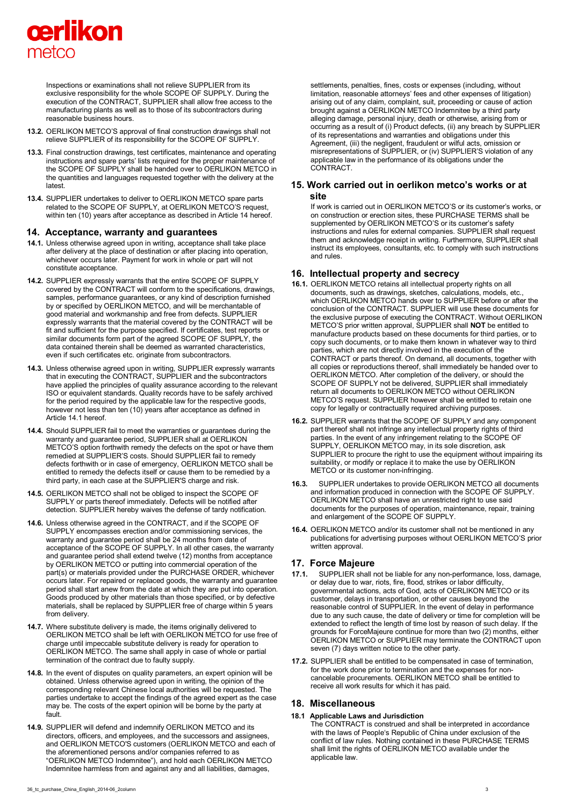

Inspections or examinations shall not relieve SUPPLIER from its exclusive responsibility for the whole SCOPE OF SUPPLY. During the execution of the CONTRACT, SUPPLIER shall allow free access to the manufacturing plants as well as to those of its subcontractors during reasonable business hours.

- **13.2.** OERLIKON METCO'S approval of final construction drawings shall not relieve SUPPLIER of its responsibility for the SCOPE OF SUPPLY.
- **13.3.** Final construction drawings, test certificates, maintenance and operating instructions and spare parts' lists required for the proper maintenance of the SCOPE OF SUPPLY shall be handed over to OERLIKON METCO in the quantities and languages requested together with the delivery at the latest.
- **13.4.** SUPPLIER undertakes to deliver to OERLIKON METCO spare parts related to the SCOPE OF SUPPLY, at OERLIKON METCO'S request, within ten (10) years after acceptance as described in Article 14 hereof.

#### **14. Acceptance, warranty and guarantees**

- **14.1.** Unless otherwise agreed upon in writing, acceptance shall take place after delivery at the place of destination or after placing into operation, whichever occurs later. Payment for work in whole or part will not constitute acceptance.
- **14.2.** SUPPLIER expressly warrants that the entire SCOPE OF SUPPLY covered by the CONTRACT will conform to the specifications, drawings, samples, performance guarantees, or any kind of description furnished by or specified by OERLIKON METCO, and will be merchantable of good material and workmanship and free from defects. SUPPLIER expressly warrants that the material covered by the CONTRACT will be fit and sufficient for the purpose specified. If certificates, test reports or similar documents form part of the agreed SCOPE OF SUPPLY, the data contained therein shall be deemed as warranted characteristics, even if such certificates etc. originate from subcontractors.
- **14.3.** Unless otherwise agreed upon in writing, SUPPLIER expressly warrants that in executing the CONTRACT, SUPPLIER and the subcontractors have applied the principles of quality assurance according to the relevant ISO or equivalent standards. Quality records have to be safely archived for the period required by the applicable law for the respective goods, however not less than ten (10) years after acceptance as defined in Article 14.1 hereof.
- **14.4.** Should SUPPLIER fail to meet the warranties or guarantees during the warranty and guarantee period, SUPPLIER shall at OERLIKON METCO'S option forthwith remedy the defects on the spot or have them remedied at SUPPLIER'S costs. Should SUPPLIER fail to remedy defects forthwith or in case of emergency, OERLIKON METCO shall be entitled to remedy the defects itself or cause them to be remedied by a third party, in each case at the SUPPLIER'S charge and risk.
- **14.5.** OERLIKON METCO shall not be obliged to inspect the SCOPE OF SUPPLY or parts thereof immediately. Defects will be notified after detection. SUPPLIER hereby waives the defense of tardy notification.
- **14.6.** Unless otherwise agreed in the CONTRACT, and if the SCOPE OF SUPPLY encompasses erection and/or commissioning services, the warranty and guarantee period shall be 24 months from date of acceptance of the SCOPE OF SUPPLY. In all other cases, the warranty and guarantee period shall extend twelve (12) months from acceptance by OERLIKON METCO or putting into commercial operation of the part(s) or materials provided under the PURCHASE ORDER, whichever occurs later. For repaired or replaced goods, the warranty and guarantee period shall start anew from the date at which they are put into operation. Goods produced by other materials than those specified, or by defective materials, shall be replaced by SUPPLIER free of charge within 5 years from delivery.
- **14.7.** Where substitute delivery is made, the items originally delivered to OERLIKON METCO shall be left with OERLIKON METCO for use free of charge until impeccable substitute delivery is ready for operation to OERLIKON METCO. The same shall apply in case of whole or partial termination of the contract due to faulty supply.
- **14.8.** In the event of disputes on quality parameters, an expert opinion will be obtained. Unless otherwise agreed upon in writing, the opinion of the corresponding relevant Chinese local authorities will be requested. The parties undertake to accept the findings of the agreed expert as the case may be. The costs of the expert opinion will be borne by the party at fault.
- **14.9.** SUPPLIER will defend and indemnify OERLIKON METCO and its directors, officers, and employees, and the successors and assignees, and OERLIKON METCO'S customers (OERLIKON METCO and each of the aforementioned persons and/or companies referred to as "OERLIKON METCO Indemnitee"), and hold each OERLIKON METCO Indemnitee harmless from and against any and all liabilities, damages,

settlements, penalties, fines, costs or expenses (including, without limitation, reasonable attorneys' fees and other expenses of litigation) arising out of any claim, complaint, suit, proceeding or cause of action brought against a OERLIKON METCO Indemnitee by a third party alleging damage, personal injury, death or otherwise, arising from or occurring as a result of (i) Product defects, (ii) any breach by SUPPLIER of its representations and warranties and obligations under this Agreement, (iii) the negligent, fraudulent or wilful acts, omission or misrepresentations of SUPPLIER, or (iv) SUPPLIER'S violation of any applicable law in the performance of its obligations under the CONTRACT.

#### **15. Work carried out in oerlikon metco's works or at site**

If work is carried out in OERLIKON METCO'S or its customer's works, or on construction or erection sites, these PURCHASE TERMS shall be supplemented by OERLIKON METCO'S or its customer's safety instructions and rules for external companies. SUPPLIER shall request them and acknowledge receipt in writing. Furthermore, SUPPLIER shall instruct its employees, consultants, etc. to comply with such instructions and rules.

## **16. Intellectual property and secrecy**

- **16.1.** OERLIKON METCO retains all intellectual property rights on all documents, such as drawings, sketches, calculations, models, etc., which OERLIKON METCO hands over to SUPPLIER before or after the conclusion of the CONTRACT. SUPPLIER will use these documents for the exclusive purpose of executing the CONTRACT. Without OERLIKON METCO'S prior written approval, SUPPLIER shall **NOT** be entitled to manufacture products based on these documents for third parties, or to copy such documents, or to make them known in whatever way to third parties, which are not directly involved in the execution of the CONTRACT or parts thereof. On demand, all documents, together with all copies or reproductions thereof, shall immediately be handed over to OERLIKON METCO. After completion of the delivery, or should the SCOPE OF SUPPLY not be delivered, SUPPLIER shall immediately return all documents to OERLIKON METCO without OERLIKON METCO'S request. SUPPLIER however shall be entitled to retain one copy for legally or contractually required archiving purposes.
- **16.2.** SUPPLIER warrants that the SCOPE OF SUPPLY and any component part thereof shall not infringe any intellectual property rights of third parties. In the event of any infringement relating to the SCOPE OF SUPPLY, OERLIKON METCO may, in its sole discretion, ask SUPPLIER to procure the right to use the equipment without impairing its suitability, or modify or replace it to make the use by OERLIKON METCO or its customer non-infringing.
- **16.3.** SUPPLIER undertakes to provide OERLIKON METCO all documents and information produced in connection with the SCOPE OF SUPPLY. OERLIKON METCO shall have an unrestricted right to use said documents for the purposes of operation, maintenance, repair, training and enlargement of the SCOPE OF SUPPLY.
- **16.4.** OERLIKON METCO and/or its customer shall not be mentioned in any publications for advertising purposes without OERLIKON METCO'S prior written approval.

## **17. Force Majeure**

- **17.1.** SUPPLIER shall not be liable for any non-performance, loss, damage, or delay due to war, riots, fire, flood, strikes or labor difficulty, governmental actions, acts of God, acts of OERLIKON METCO or its customer, delays in transportation, or other causes beyond the reasonable control of SUPPLIER. In the event of delay in performance due to any such cause, the date of delivery or time for completion will be extended to reflect the length of time lost by reason of such delay. If the grounds for ForceMajeure continue for more than two (2) months, either OERLIKON METCO or SUPPLIER may terminate the CONTRACT upon seven (7) days written notice to the other party.
- **17.2.** SUPPLIER shall be entitled to be compensated in case of termination, for the work done prior to termination and the expenses for noncancelable procurements. OERLIKON METCO shall be entitled to receive all work results for which it has paid.

#### **18. Miscellaneous**

**18.1 Applicable Laws and Jurisdiction**  The CONTRACT is construed and shall be interpreted in accordance with the laws of People's Republic of China under exclusion of the conflict of law rules. Nothing contained in these PURCHASE TERMS shall limit the rights of OERLIKON METCO available under the applicable law.